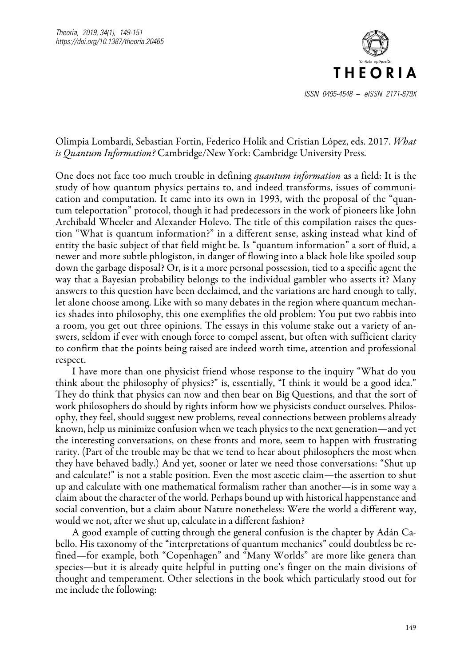

## Olimpia Lombardi, Sebastian Fortin, Federico Holik and Cristian López, eds. 2017. *What is Quantum Information?* Cambridge/New York: Cambridge University Press.

One does not face too much trouble in defining *quantum information* as a field: It is the study of how quantum physics pertains to, and indeed transforms, issues of communication and computation. It came into its own in 1993, with the proposal of the "quantum teleportation" protocol, though it had predecessors in the work of pioneers like John Archibald Wheeler and Alexander Holevo. The title of this compilation raises the question "What is quantum information?" in a different sense, asking instead what kind of entity the basic subject of that field might be. Is "quantum information" a sort of fluid, a newer and more subtle phlogiston, in danger of flowing into a black hole like spoiled soup down the garbage disposal? Or, is it a more personal possession, tied to a specific agent the way that a Bayesian probability belongs to the individual gambler who asserts it? Many answers to this question have been declaimed, and the variations are hard enough to tally, let alone choose among. Like with so many debates in the region where quantum mechanics shades into philosophy, this one exemplifies the old problem: You put two rabbis into a room, you get out three opinions. The essays in this volume stake out a variety of answers, seldom if ever with enough force to compel assent, but often with sufficient clarity to confirm that the points being raised are indeed worth time, attention and professional respect.

I have more than one physicist friend whose response to the inquiry "What do you think about the philosophy of physics?" is, essentially, "I think it would be a good idea." They do think that physics can now and then bear on Big Questions, and that the sort of work philosophers do should by rights inform how we physicists conduct ourselves. Philosophy, they feel, should suggest new problems, reveal connections between problems already known, help us minimize confusion when we teach physics to the next generation—and yet the interesting conversations, on these fronts and more, seem to happen with frustrating rarity. (Part of the trouble may be that we tend to hear about philosophers the most when they have behaved badly.) And yet, sooner or later we need those conversations: "Shut up and calculate!" is not a stable position. Even the most ascetic claim—the assertion to shut up and calculate with one mathematical formalism rather than another—is in some way a claim about the character of the world. Perhaps bound up with historical happenstance and social convention, but a claim about Nature nonetheless: Were the world a different way, would we not, after we shut up, calculate in a different fashion?

A good example of cutting through the general confusion is the chapter by Adán Cabello. His taxonomy of the "interpretations of quantum mechanics" could doubtless be refined—for example, both "Copenhagen" and "Many Worlds" are more like genera than species—but it is already quite helpful in putting one's finger on the main divisions of thought and temperament. Other selections in the book which particularly stood out for me include the following: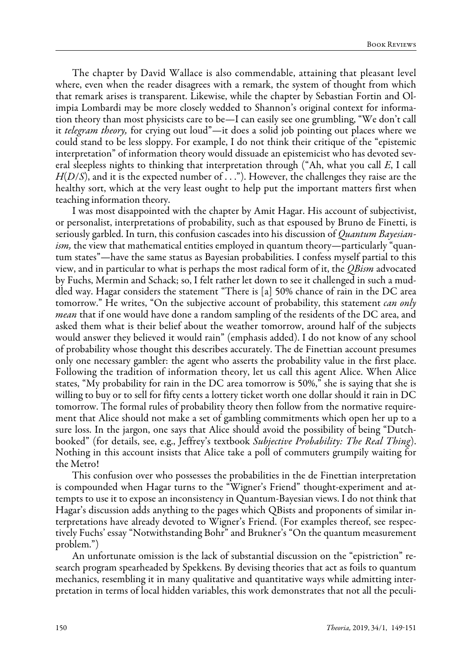The chapter by David Wallace is also commendable, attaining that pleasant level where, even when the reader disagrees with a remark, the system of thought from which that remark arises is transparent. Likewise, while the chapter by Sebastian Fortin and Olimpia Lombardi may be more closely wedded to Shannon's original context for information theory than most physicists care to be—I can easily see one grumbling, "We don't call it *telegram theory,* for crying out loud"—it does a solid job pointing out places where we could stand to be less sloppy. For example, I do not think their critique of the "epistemic interpretation" of information theory would dissuade an epistemicist who has devoted several sleepless nights to thinking that interpretation through ("Ah, what you call *E*, I call *H*(*D*/*S*), and it is the expected number of . . ."). However, the challenges they raise are the healthy sort, which at the very least ought to help put the important matters first when teaching information theory.

I was most disappointed with the chapter by Amit Hagar. His account of subjectivist, or personalist, interpretations of probability, such as that espoused by Bruno de Finetti, is seriously garbled. In turn, this confusion cascades into his discussion of *Quantum Bayesianism*, the view that mathematical entities employed in quantum theory—particularly "quantum states"—have the same status as Bayesian probabilities. I confess myself partial to this view, and in particular to what is perhaps the most radical form of it, the *QBism* advocated by Fuchs, Mermin and Schack; so, I felt rather let down to see it challenged in such a muddled way. Hagar considers the statement "There is [a] 50% chance of rain in the DC area tomorrow." He writes, "On the subjective account of probability, this statement *can only mean* that if one would have done a random sampling of the residents of the DC area, and asked them what is their belief about the weather tomorrow, around half of the subjects would answer they believed it would rain" (emphasis added). I do not know of any school of probability whose thought this describes accurately. The de Finettian account presumes only one necessary gambler: the agent who asserts the probability value in the first place. Following the tradition of information theory, let us call this agent Alice. When Alice states, "My probability for rain in the DC area tomorrow is 50%," she is saying that she is willing to buy or to sell for fifty cents a lottery ticket worth one dollar should it rain in DC tomorrow. The formal rules of probability theory then follow from the normative requirement that Alice should not make a set of gambling commitments which open her up to a sure loss. In the jargon, one says that Alice should avoid the possibility of being "Dutchbooked" (for details, see, e.g., Jeffrey's textbook *Subjective Probability: The Real Thing*). Nothing in this account insists that Alice take a poll of commuters grumpily waiting for the Metro!

This confusion over who possesses the probabilities in the de Finettian interpretation is compounded when Hagar turns to the "Wigner's Friend" thought-experiment and attempts to use it to expose an inconsistency in Quantum-Bayesian views. I do not think that Hagar's discussion adds anything to the pages which QBists and proponents of similar interpretations have already devoted to Wigner's Friend. (For examples thereof, see respectively Fuchs' essay "Notwithstanding Bohr" and Brukner's "On the quantum measurement problem.")

An unfortunate omission is the lack of substantial discussion on the "epistriction" research program spearheaded by Spekkens. By devising theories that act as foils to quantum mechanics, resembling it in many qualitative and quantitative ways while admitting interpretation in terms of local hidden variables, this work demonstrates that not all the peculi